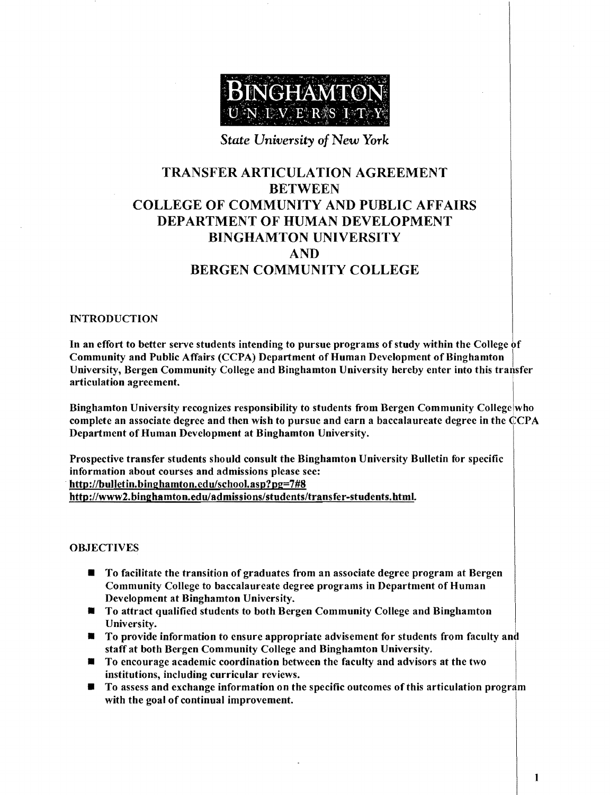

### *State University* of *New York*

# TRANSFER ARTICULATION AGREEMENT BETWEEN COLLEGE OF COMMUNITY AND PUBLIC AFFAIRS DEPARTMENT OF HUMAN DEVELOPMENT BINGHAMTON UNIVERSITY AND BERGEN COMMUNITY COLLEGE

#### INTRODUCTION

In an effort to better serve students intending to pursue programs of study within the College of Community and Public Affairs (CCPA) Department of Human Development of Binghamton University, Bergen Community College and Binghamton University hereby enter into this transfer articulation agreement. .

Binghamton University recognizes responsibility to students from Bergen Community College who complete an associate degree and then wish to pursue and earn a baccalaureate degree in the  $\dot{C}CPA$ Department of Human Development at Binghamton University.

Prospective transfer students should consult the Binghamton University Bulletin for specific information about courses and admissions please see: http://bulletin.binghamton.edu/school.asp?pg=7#8 http://www2.binghamton.eduladmissions/students/transfer-students.html.

#### OBJECTIVES

- **To facilitate the transition of graduates from an associate degree program at Bergen** Community College to baccalaureate degree programs in Department of Human Development at Binghamton University.
- **To attract qualified students to both Bergen Community College and Binghamton** University.
- **To provide information to ensure appropriate advisement for students from faculty and** staff at both Bergen Community College and Binghamton University.
- **To encourage academic coordination between the faculty and advisors at the two** institutions, including curricular reviews.
- To assess and exchange information on the specific outcomes of this articulation program with the goal of continual improvement.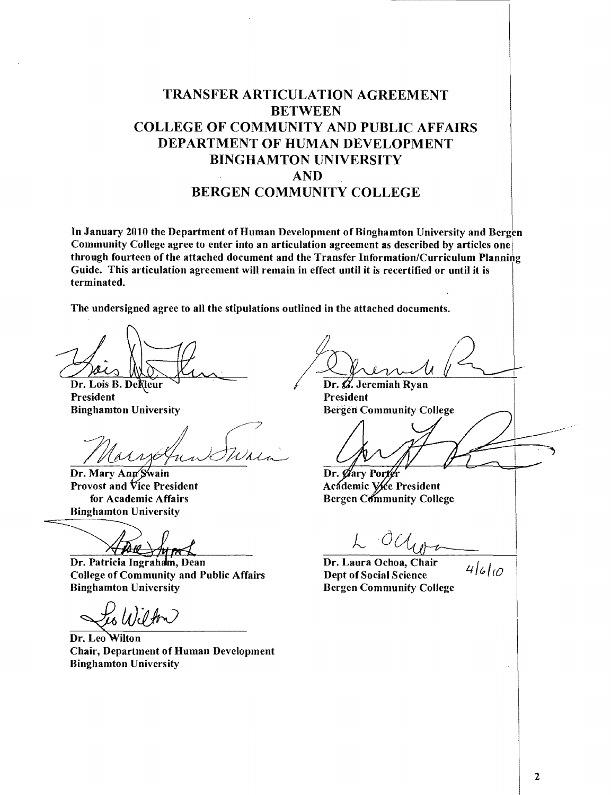# TRANSFER ARTICULATION AGREEMENT BETWEEN COLLEGE OF COMMUNITY AND PUBLIC AFFAIRS DEPARTMENT OF HUMAN DEVELOPMENT BINGHAMTON UNIVERSITY AND BERGEN COMMUNITY COLLEGE

In January 2010 the Department of Human Development of Binghamton University and Bergen Community College agree to enter into an articulation agreement as described by articles one through fourteen of the attached document and the Transfer Information/Curriculum Planning Guide. This articulation agreement will remain in effect until it is recertified or until it is terminated.

The undersigned agree to all the stipulations outlined in the attached documents .

Dr. Lois B. Dekleur President Binghamton University

Dr. Mary Ann Swain Provost and Vice President for Academic Affairs **Binghamton University** 

**V**A-19

Dr. Patricia Ingraham, Dean **College of Community and Public Affairs Binghamton University** 

Dr. Leo Wilton Chair, Department of Human Development Binghamton University

Dr.  $\mathscr A$ . Jeremiah Ryan President Bergen: Community College

Dr. Øary Porte

 $4610$ 

Academic Vice President **Bergen Community College** 

Dr. Laura Ochoa, Chair Dept of Social Science Bergen Community College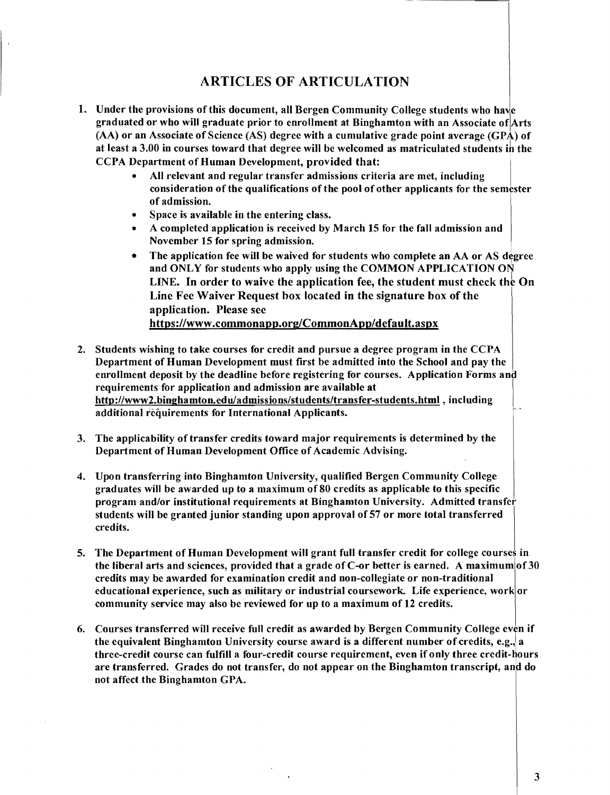## ARTICLES OF ARTICULATION

- at least a 3.00 in courses toward that degree will be welcomed as matriculated students in the<br>CCPA Department of Human Development, provided that: 1. Under the provisions of this document, all Bergen Community College students who have graduated or who will graduate prior to enrollment at Binghamton with an Associate ofiArts (AA) or an Associate of Science (AS) degree with a cumulative grade point average (GPA) of CCPA Department of Human Development, provided that:
	- All relevant and regular transfer admissions criteria are met, including consideration of the qualifications of the pool of other applicants for the semester of admission.
	- Space is available in the entering class.
	- A completed application is received by March 15 for the fall admission and November 15 for spring admission.
	- The application fee will be waived for students who complete an AA or AS degree and ONLY for students who apply using the COMMON APPLICATION ON LINE. In order to waive the application fee, the student must check the On Line Fee Waiver Request box located in the signature box of the application. Please see https://www.commonapp.org/CommonApp/default.aspx
- 2. Students wishing to take courses for credit and pursue a degree program in the CCPA Department of Human Development must first be admitted into the School and pay the enrollment deposit by the deadline before registering for courses. Application Forms and requirements for application and admission are available at http://www2.binghamton.eduladmissions/students/transfer-students.html. including additional requirements for International Applicants.
- 3. The applicability of transfer credits toward major requirements is determined by the Department of Human Development Office of Academic Advising.
- 4. Upon transferring into Binghamton University, qualified Bergen Community College graduates will be awarded up to a maximum of80 credits as applicable to this specific program and/or institutional requirements at Binghamton University. Admitted transfer students will be granted junior standing upon approval of 57 or more total transferred credits.
- 5. The Department of Human Development will grant full transfer credit for college courses in the liberal arts and sciences, provided that a grade of C-or better is earned. A maximum of 30 credits may be awarded for examination credit and non-collegiate or non-traditional educational experience, such as military or industrial coursework. Life experience, work or community service may also be reviewed for up to a maximum of 12 credits.
- 6. Courses transferred will receive full credit as awarded by Bergen Community College even if the equivalent Binghamton University course award is a different number of credits, e.g., a three-credit course can fulfill a four-credit course requirement, even if only three credit-hours are transferred. Grades do not transfer, do not appear on the Binghamton transcript, and do not affect the Binghamton GPA.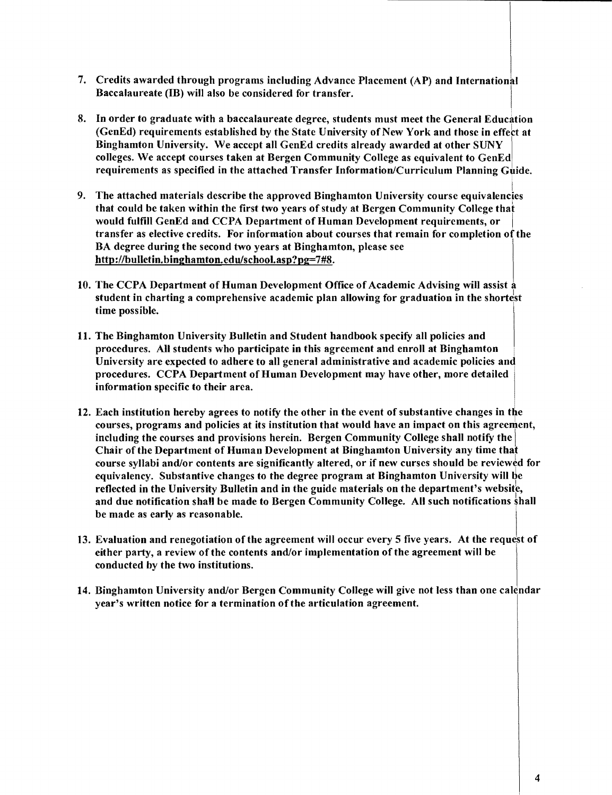- 7. Credits awarded through programs including Advance Placement (AP) and International Baccalaureate (IB) will also be considered for transfer.
- 8. In order to graduate with a baccalaureate degree, students must meet the General Education (GenEd) requirements established by the State University of New York and those in effect at Binghamton University. We accept all GenEd credits already awarded at other SUNY colleges. We accept courses taken at Bergen Community College as equivalent to GenEd requirements as specified in the attached Transfer Information/Curriculum Planning Guide.
- g<br>9. The attached materials describe the approved Binghamton University course equivalencies that could be taken within the first two years of study at Bergen Community College that would fulfill GenEd and CCPA Department of Human Development requirements, or transfer as elective credits. For information about courses that remain for completion of the BA degree during the second two years at Binghamton, please see http://bulletin.binghamton.edulschool.asp?pg=7#8.
- 10. The CCPA Department of Human Development Office of Academic Advising will assist a student in charting a comprehensive academic plan allowing for graduation in the shortest time possible.
- 11. The Binghamton University Bulletin and Student handbook specify all policies and procedures. All students who participate in this agreement and enroll at Binghamton University are expected to adhere to all general administrative and academic policies and procedures. CCPA Department of Human Development may have other, more detailed information specific to their area.
- 12. Each institution hereby agrees to notify the other in the event of substantive changes in the courses, programs and policies at its institution that would have an impact on this agreement, including the courses and provisions herein. Bergen Community College shall notify the Chair of the Department of Human Development at Binghamton University any time that course syllabi and/or contents are significantly altered, or if new curses should be reviewed for equivalency. Substantive changes to the degree program at Binghamton University will be reflected in the University Bulletin and in the guide materials on the department's website, and due notification shall be made to Bergen Community College. All such notifications shall be made as early as reasonable.
- 13. Evaluation and renegotiation of the agreement will occur every 5 five years. At the request of either party, a review of the contents and/or implementation ofthe agreement will be conducted by the two institutions.
- 14. Binghamton University and/or Bergen Community College will give not less than one calendar year's written notice for a termination of the articulation agreement.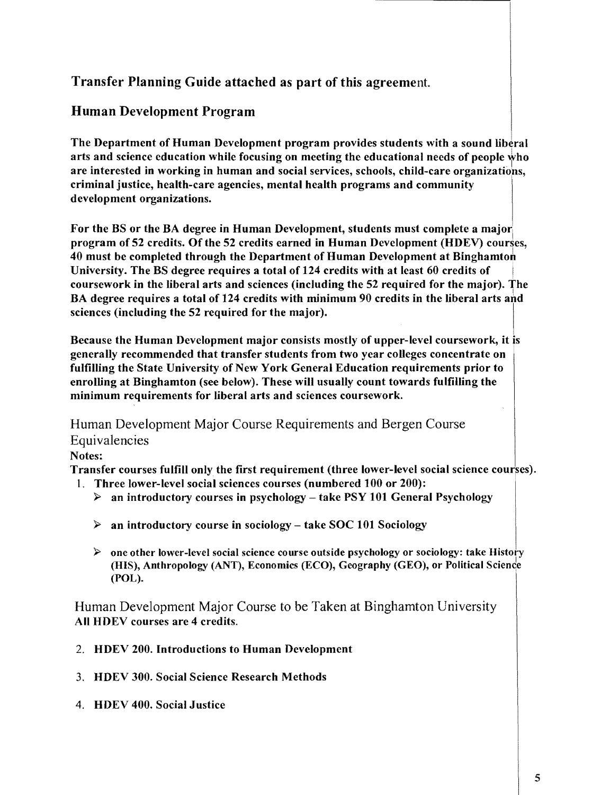# Transfer Planning Guide attached as part of this agreement.

# Human Development Program

The Department of Human Development program provides students with a sound liberal arts and science education while focusing on meeting the educational needs of people  $w$ ho are interested in working in human and social services, schools, child-care organizatiop.s, criminal justice, health-care agencies, mental health programs and community development organizations.

For the BS or the BA degree in Human Development, students must complete a major program of 52 credits. Of the 52 credits earned in Human Development (HDEV) courses, 40 must be completed through the Department of Human Development at Binghamtoh University. The BS degree requires a total of 124 credits with at least 60 credits of coursework in the liberal arts and sciences (including the 52 required for the major). The BA degree requires a total of 124 credits with minimum 90 credits in the liberal arts and sciences (including the 52 required for the major).

Because the Human Development major consists mostly of upper-level coursework, it is generally recommended that transfer students from two year colleges concentrate on fulfilling the State University of New York General Education requirements prior to enrolling at Binghamton (see below). These will usually count towards fulfilling the minimum requirements for liberal arts and sciences coursework.

Human Development Major Course Requirements and Bergen Course Equivalencies

### Notes:

Transfer courses fulfill only the first requirement (three lower-level social science courses).

- 1. Three lower-level social sciences courses (numbered 100 or 200):
	- $\triangleright$  an introductory courses in psychology take PSY 101 General Psychology
	- $\triangleright$  an introductory course in sociology take SOC 101 Sociology
	- $\triangleright$  one other lower-level social science course outside psychology or sociology: take History (HIS), Anthropology (ANT), Economics (ECO), Geography (GEO), or Political Science (POL).

Human Development Major Course to be Taken at Binghamton University All HDEV courses are 4 credits.

- 2. HDEV 200. Introductions to Human Development
- 3. HDEV 300. Social Science Research Methods
- 4. HDEV 400. Social Justice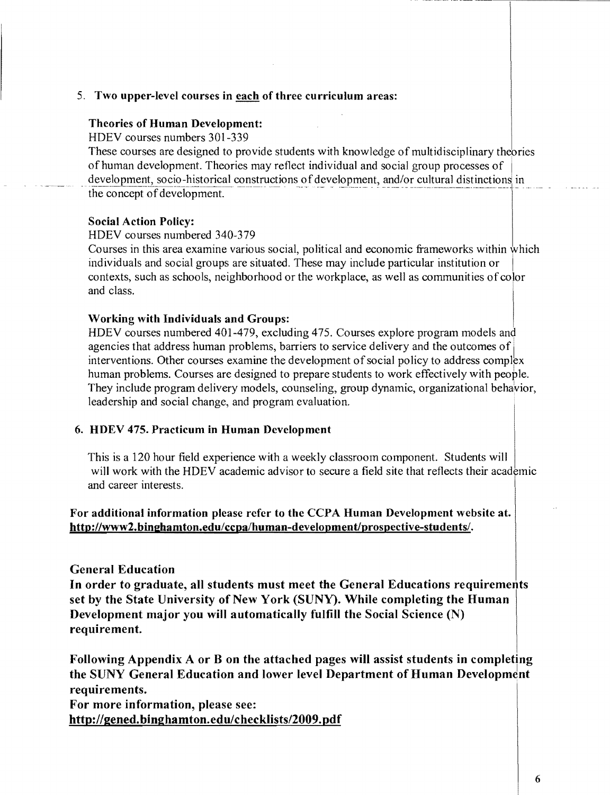### 5. Two upper-level courses in each of three curriculum areas:

### Theories of Human Development:

HDEV courses numbers 301-339

These courses are designed to provide students with knowledge of multidisciplinary thepries of human development. Theories may reflect individual and social group processes of I development, socio-historical constructions of development, and/or cultural distinctions in the concept of development. .......

#### Social Action Policy:

HDEV courses numbered 340~379

Courses in this area examine various social, political and economic frameworks within which individuals and social groups are situated. These may include particular institution or contexts, such as schools, neighborhood or the workplace, as well as communities of coJor and class.

#### Working with Individuals and Groups:

HDEV courses numbered 401-479, excluding 475. Courses explore program models and agencies that address human problems, barriers to service delivery and the outcomes of interventions. Other courses examine the development of social policy to address complex human problems. Courses are designed to prepare students to work effectively with people. They include program delivery models, counseling, group dynamic, organizational behavior, leadership and social change, and program evaluation.

#### 6. HDEV 475. Practicum in Human Development

This is a 120 hour field experience with a weekly classroom component. Students will will work with the HDEV academic advisor to secure a field site that reflects their academic and career interests.

### For additional information please refer to the CCPA Human Development website at. http://www2.binghamton.edu/ccpa/human-development/prospective-students/.

### General Education

In order to graduate, all students must meet the General Educations requirements set by the State University of New York (SUNY). While completing the Human Development major you will automatically fulfill the Social Science (N) requirement.

Following Appendix A or B on the attached pages will assist students in completing the SUNY General Education and lower level Department of Human Development requirements.

For more information, please see: http://gened.binghamton.edu/checklists/2009.pdf --- \_.- --------.----------